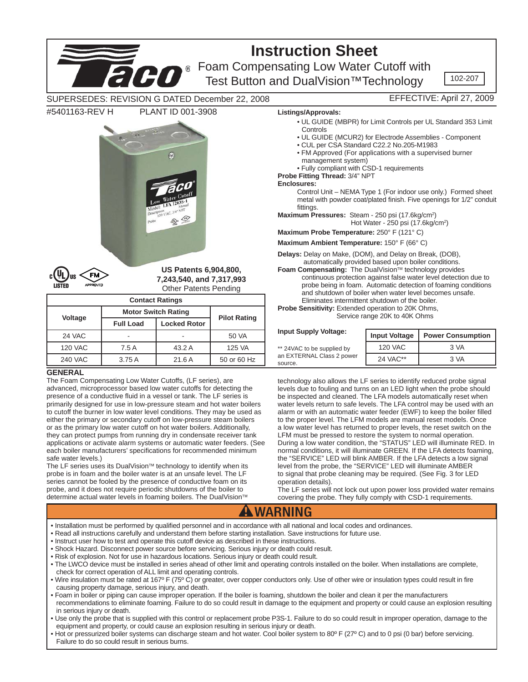

- Shock Hazard. Disconnect power source before servicing. Serious injury or death could result.
- 
- Risk of explosion. Not for use in hazardous locations. Serious injury or death could result.
- The LWCO device must be installed in series ahead of other limit and operating controls installed on the boiler. When installations are complete, check for correct operation of ALL limit and operating controls.
- Wire insulation must be rated at 167º F (75º C) or greater, over copper conductors only. Use of other wire or insulation types could result in fire causing property damage, serious injury, and death.
- Foam in boiler or piping can cause improper operation. If the boiler is foaming, shutdown the boiler and clean it per the manufacturers recommendations to eliminate foaming. Failure to do so could result in damage to the equipment and property or could cause an explosion resulting in serious injury or death.
- Use only the probe that is supplied with this control or replacement probe P3S-1. Failure to do so could result in improper operation, damage to the equipment and property, or could cause an explosion resulting in serious injury or death.
- Hot or pressurized boiler systems can discharge steam and hot water. Cool boiler system to 80º F (27º C) and to 0 psi (0 bar) before servicing. Failure to do so could result in serious burns.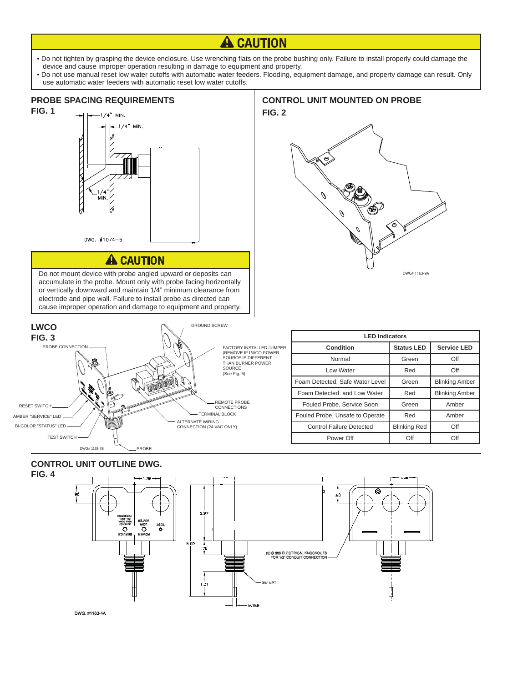# **A CAUTION**

- Do not tighten by grasping the device enclosure. Use wrenching flats on the probe bushing only. Failure to install properly could damage the device and cause improper operation resulting in damage to equipment and property.
- Do not use manual reset low water cutoffs with automatic water feeders. Flooding, equipment damage, and property damage can result. Only use automatic water feeders with automatic reset low water cutoffs.



Do not mount device with probe angled upward or deposits can DWG# 1163-9A accumulate in the probe. Mount only with probe facing horizontally or vertically downward and maintain 1/4" minimum clearance from electrode and pipe wall. Failure to install probe as directed can cause improper operation and damage to equipment and property.

# **FIG. 2**  $\mathscr O$

**CONTROL UNIT MOUNTED ON PROBE**



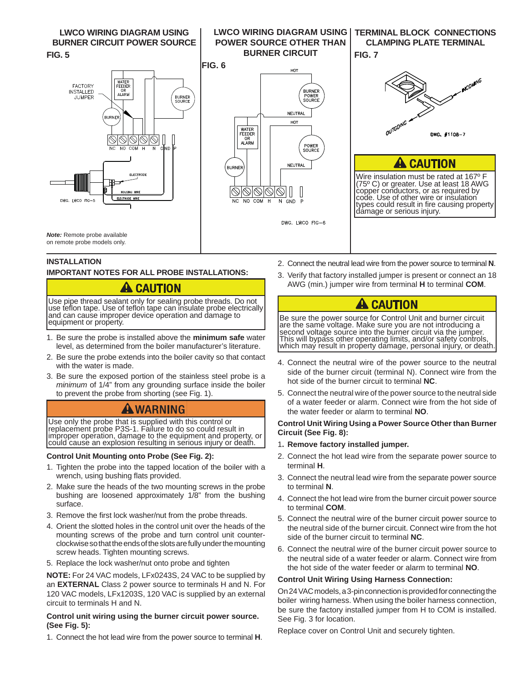**LWCO WIRING DIAGRAM USING BURNER CIRCUIT POWER SOURCE FIG. 5**



#### **TERMINAL BLOCK CONNECTIONS CLAMPING PLATE TERMINAL**

### **FIG. 7**

**LWCO WIRING DIAGRAM USING POWER SOURCE OTHER THAN** 

l





Wire insulation must be rated at 167º F (75º C) or greater. Use at least 18 AWG copper conductors, or as required by code. Use of other wire or insulation types could result in fire causing property<br>damage or serious injury.

*Note:* Remote probe available on remote probe models only.

#### **INSTALLATION**

 l

i

#### **IMPORTANT NOTES FOR ALL PROBE INSTALLATIONS:**

## **A CAUTION**

equipment or property. Use pipe thread sealant only for sealing probe threads. Do not use teflon tape. Use of teflon tape can insulate probe electrically<br>and can cause improper device operation and damage to

- 1. Be sure the probe is installed above the **minimum safe** water level, as determined from the boiler manufacturer's literature.
- 2. Be sure the probe extends into the boiler cavity so that contact with the water is made.
- 3. Be sure the exposed portion of the stainless steel probe is a *minimum* of 1/4" from any grounding surface inside the boiler to prevent the probe from shorting (see Fig. 1).

## **ANARNING**

 Use only the probe that is supplied with this control or replacement probe P3S-1. Failure to do so could result in improper operation, damage to the equipment and property, or could cause an explosion resulting in serious injury or death.

#### **Control Unit Mounting onto Probe (See Fig. 2):**

- 1. Tighten the probe into the tapped location of the boiler with a wrench, using bushing flats provided.
- 2. Make sure the heads of the two mounting screws in the probe bushing are loosened approximately 1/8" from the bushing surface.
- 3. Remove the first lock washer/nut from the probe threads.
- 4. Orient the slotted holes in the control unit over the heads of the mounting screws of the probe and turn control unit counterclockwise so that the ends of the slots are fully under the mounting screw heads. Tighten mounting screws.
- 5. Replace the lock washer/nut onto probe and tighten

**NOTE:** For 24 VAC models, LFx0243S, 24 VAC to be supplied by an **EXTERNAL** Class 2 power source to terminals H and N. For 120 VAC models, LFx1203S, 120 VAC is supplied by an external circuit to terminals H and N.

#### **Control unit wiring using the burner circuit power source. (See Fig. 5):**

1. Connect the hot lead wire from the power source to terminal **H**.

- 2. Connect the neutral lead wire from the power source to terminal **N**.
- 3. Verify that factory installed jumper is present or connect an 18 AWG (min.) jumper wire from terminal **H** to terminal **COM**.

# **A CAUTION**

which may result in property damage, personal injury, or death. Be sure the power source for Control Unit and burner circuit are the same voltage. Make sure you are not introducing a second voltage source into the burner circuit via the jumper. This will bypass other operating limits, and/or safety controls,

- 4. Connect the neutral wire of the power source to the neutral side of the burner circuit (terminal N). Connect wire from the hot side of the burner circuit to terminal **NC**.
- 5. Connect the neutral wire of the power source to the neutral side of a water feeder or alarm. Connect wire from the hot side of the water feeder or alarm to terminal **NO**.

#### **Control Unit Wiring Using a Power Source Other than Burner Circuit (See Fig. 8):**

- 1**. Remove factory installed jumper.**
- 2. Connect the hot lead wire from the separate power source to terminal **H**.
- 3. Connect the neutral lead wire from the separate power source to terminal **N**.
- 4. Connect the hot lead wire from the burner circuit power source to terminal **COM**.
- 5. Connect the neutral wire of the burner circuit power source to the neutral side of the burner circuit. Connect wire from the hot side of the burner circuit to terminal **NC**.
- 6. Connect the neutral wire of the burner circuit power source to the neutral side of a water feeder or alarm. Connect wire from the hot side of the water feeder or alarm to terminal **NO**.

#### **Control Unit Wiring Using Harness Connection:**

On 24 VAC models, a 3-pin connection is provided for connecting the boiler wiring harness. When using the boiler harness connection, be sure the factory installed jumper from H to COM is installed. See Fig. 3 for location.

Replace cover on Control Unit and securely tighten.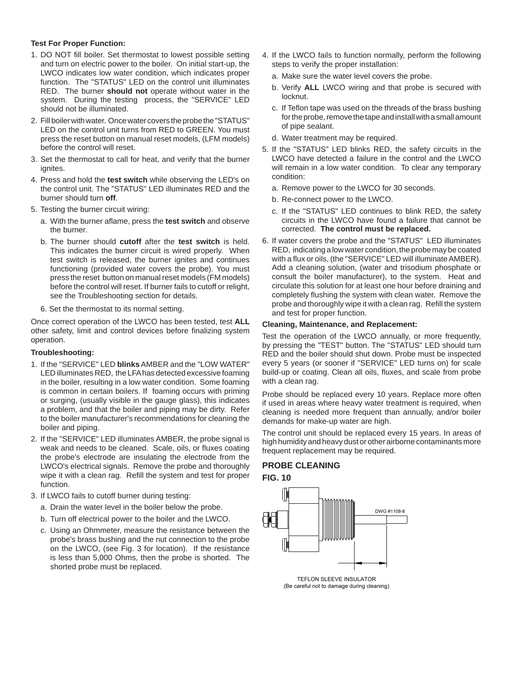#### **Test For Proper Function:**

- 1. DO NOT fill boiler. Set thermostat to lowest possible setting and turn on electric power to the boiler. On initial start-up, the LWCO indicates low water condition, which indicates proper function. The "STATUS" LED on the control unit illuminates RED. The burner **should not** operate without water in the system. During the testing process, the "SERVICE" LED should not be illuminated.
- 2. Fill boiler with water. Once water covers the probe the "STATUS" LED on the control unit turns from RED to GREEN. You must press the reset button on manual reset models, (LFM models) before the control will reset.
- 3. Set the thermostat to call for heat, and verify that the burner ignites.
- 4. Press and hold the **test switch** while observing the LED's on the control unit. The "STATUS" LED illuminates RED and the burner should turn **off**.
- 5. Testing the burner circuit wiring:
	- a. With the burner aflame, press the **test switch** and observe the burner.
	- b. The burner should **cutoff** after the **test switch** is held. This indicates the burner circuit is wired properly. When test switch is released, the burner ignites and continues functioning (provided water covers the probe). You must press the reset button on manual reset models (FM models) before the control will reset. If burner fails to cutoff or relight, see the Troubleshooting section for details.
	- 6. Set the thermostat to its normal setting.

Once correct operation of the LWCO has been tested, test **ALL**  other safety, limit and control devices before finalizing system operation.

#### **Troubleshooting:**

- 1. If the "SERVICE" LED **blinks** AMBER and the "LOW WATER" LED illuminates RED, the LFA has detected excessive foaming in the boiler, resulting in a low water condition. Some foaming is common in certain boilers. If foaming occurs with priming or surging, (usually visible in the gauge glass), this indicates a problem, and that the boiler and piping may be dirty. Refer to the boiler manufacturer's recommendations for cleaning the boiler and piping.
- 2. If the "SERVICE" LED illuminates AMBER, the probe signal is weak and needs to be cleaned. Scale, oils, or fluxes coating the probe's electrode are insulating the electrode from the LWCO's electrical signals. Remove the probe and thoroughly wipe it with a clean rag. Refill the system and test for proper function.
- 3. If LWCO fails to cutoff burner during testing:
	- a. Drain the water level in the boiler below the probe.
	- b. Turn off electrical power to the boiler and the LWCO.
	- c. Using an Ohmmeter, measure the resistance between the probe's brass bushing and the nut connection to the probe on the LWCO, (see Fig. 3 for location). If the resistance is less than 5,000 Ohms, then the probe is shorted. The shorted probe must be replaced.
- 4. If the LWCO fails to function normally, perform the following steps to verify the proper installation:
	- a. Make sure the water level covers the probe.
	- b. Verify **ALL** LWCO wiring and that probe is secured with locknut.
	- c. If Teflon tape was used on the threads of the brass bushing for the probe, remove the tape and install with a small amount of pipe sealant.
	- d. Water treatment may be required.
- 5. If the "STATUS" LED blinks RED, the safety circuits in the LWCO have detected a failure in the control and the LWCO will remain in a low water condition. To clear any temporary condition:
	- a. Remove power to the LWCO for 30 seconds.
	- b. Re-connect power to the LWCO.
	- c. If the "STATUS" LED continues to blink RED, the safety circuits in the LWCO have found a failure that cannot be corrected. **The control must be replaced.**
- 6. If water covers the probe and the "STATUS" LED illuminates RED, indicating a low water condition, the probe may be coated with a flux or oils, (the "SERVICE" LED will illuminate AMBER). Add a cleaning solution, (water and trisodium phosphate or consult the boiler manufacturer), to the system. Heat and circulate this solution for at least one hour before draining and completely flushing the system with clean water. Remove the probe and thoroughly wipe it with a clean rag. Refill the system and test for proper function.

#### **Cleaning, Maintenance, and Replacement:**

Test the operation of the LWCO annually, or more frequently, by pressing the "TEST" button. The "STATUS" LED should turn RED and the boiler should shut down. Probe must be inspected every 5 years (or sooner if "SERVICE" LED turns on) for scale build-up or coating. Clean all oils, fluxes, and scale from probe with a clean rag.

Probe should be replaced every 10 years. Replace more often if used in areas where heavy water treatment is required, when cleaning is needed more frequent than annually, and/or boiler demands for make-up water are high.

The control unit should be replaced every 15 years. In areas of high humidity and heavy dust or other airborne contaminants more frequent replacement may be required.

#### **PROBE CLEANING**





TEFLON SLEEVE INSULATOR (Be careful not to damage during cleaning)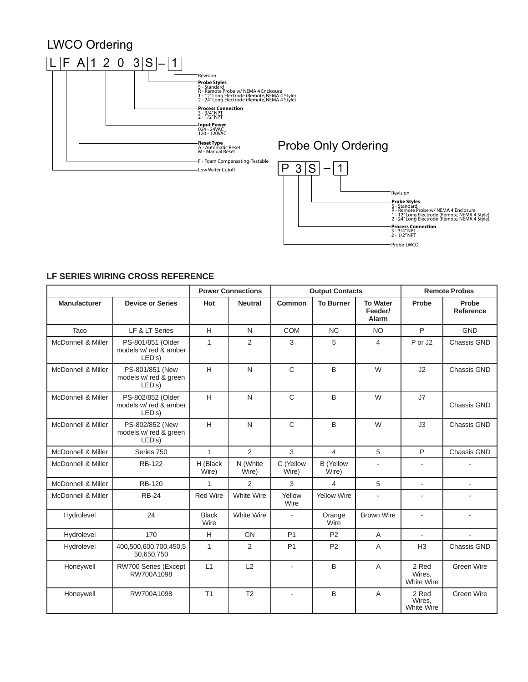# LWCO Ordering





#### **LF SERIES WIRING CROSS REFERENCE**

|                     |                                                      | <b>Power Connections</b> |                   | <b>Output Contacts</b> |                           |                                     | <b>Remote Probes</b>          |                           |
|---------------------|------------------------------------------------------|--------------------------|-------------------|------------------------|---------------------------|-------------------------------------|-------------------------------|---------------------------|
| <b>Manufacturer</b> | <b>Device or Series</b>                              | Hot                      | <b>Neutral</b>    | Common                 | <b>To Burner</b>          | <b>To Water</b><br>Feeder/<br>Alarm | Probe                         | Probe<br><b>Reference</b> |
| Taco                | LF & LT Series                                       | H                        | N                 | <b>COM</b>             | <b>NC</b>                 | <b>NO</b>                           | $\mathsf{P}$                  | <b>GND</b>                |
| McDonnell & Miller  | PS-801/851 (Older<br>models w/ red & amber<br>LED's) | $\mathbf{1}$             | 2                 | 3                      | 5                         | $\overline{4}$                      | P or J2                       | Chassis GND               |
| McDonnell & Miller  | PS-801/851 (New<br>models w/ red & green<br>LED's)   | H                        | $\mathsf{N}$      | $\mathsf{C}$           | B                         | W                                   | J2                            | Chassis GND               |
| McDonnell & Miller  | PS-802/852 (Older<br>models w/ red & amber<br>LED's) | H                        | N                 | $\mathsf{C}$           | B                         | W                                   | J7                            | <b>Chassis GND</b>        |
| McDonnell & Miller  | PS-802/852 (New<br>models w/ red & green<br>LED's)   | H                        | N                 | $\mathsf{C}$           | B                         | W                                   | J3                            | Chassis GND               |
| McDonnell & Miller  | Series 750                                           | $\mathbf{1}$             | $\overline{2}$    | 3                      | $\overline{4}$            | 5                                   | P                             | Chassis GND               |
| McDonnell & Miller  | <b>RB-122</b>                                        | H (Black<br>Wire)        | N (White<br>Wire) | C (Yellow<br>Wire)     | <b>B</b> (Yellow<br>Wire) | $\frac{1}{2}$                       | $\overline{\phantom{a}}$      |                           |
| McDonnell & Miller  | <b>RB-120</b>                                        | 1                        | 2                 | 3                      | 4                         | 5                                   | ÷.                            | ä,                        |
| McDonnell & Miller  | <b>RB-24</b>                                         | <b>Red Wire</b>          | White Wire        | Yellow<br>Wire         | <b>Yellow Wire</b>        | $\mathbf{r}$                        | $\blacksquare$                |                           |
| Hydrolevel          | 24                                                   | <b>Black</b><br>Wire     | White Wire        | $\sim$                 | Orange<br>Wire            | <b>Brown Wire</b>                   | ä,                            |                           |
| Hydrolevel          | 170                                                  | H                        | GN                | P <sub>1</sub>         | P <sub>2</sub>            | A                                   | $\mathbf{r}$                  | $\mathbf{r}$              |
| Hydrolevel          | 400,500,600,700,450,5<br>50,650,750                  | $\mathbf{1}$             | $\overline{2}$    | P <sub>1</sub>         | <b>P2</b>                 | $\overline{A}$                      | H <sub>3</sub>                | Chassis GND               |
| Honeywell           | RW700 Series (Except<br>RW700A1098                   | L1                       | L2                | L.                     | B                         | A                                   | 2 Red<br>Wires.<br>White Wire | Green Wire                |
| Honeywell           | RW700A1098                                           | T <sub>1</sub>           | T <sub>2</sub>    | $\blacksquare$         | B                         | A                                   | 2 Red<br>Wires.<br>White Wire | Green Wire                |